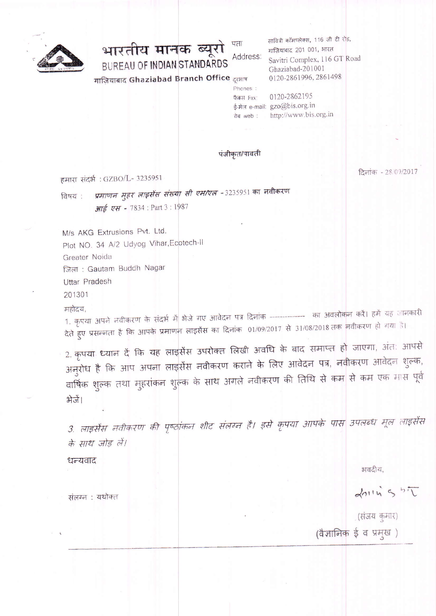

भारतीय मानक ब्यूरो Address: **BUREAU OF INDIAN STANDARDS** 

गाज़ियाबाद Ghaziabad Branch Office दूरभाष

सावित्री कॉमप्लेक्स, 116 जी टी रोड, गाज़ियाबाद 201 001, भारत Savitri Complex, 116 GT Road Ghaziabad-201001 0120-2861996, 2861498

0120-2862195 फैक्स Fax: ई-मेल e-mail: gzo@bis.org.in वेब web: http://www.bis.org.in

पंजीकृत/पावती

Phones:

हमारा संदर्भ: GZBO/L- 3235951

दिनांक - 28/09/2017

प्रमाणन मुहर लाइसेंस संख्या सी एम/एल -3235951 का नवीकरण विषय : आई एस - 7834 : Part 3 : 1987

M/s AKG Extrusions Pvt. Ltd. Plot NO. 34 A/2 Udyog Vihar, Ecotech-II Greater Noida जिला: Gautam Buddh Nagar Uttar Pradesh

201301

महोदय,

1. कृपया अपने नवीकरण के संदर्भ में भेजे गए आवेदन पत्र दिनांक --------------- का अवलोकन करें। हमें यह जानकारी देते हुए प्रसन्नता है कि आपके प्रमाणन लाइसेंस का दिनांक 01/09/2017 से 31/08/2018 तक नवीकरण हो गया है।

2. कृपया ध्यान दें कि यह लाइसेंस उपरोक्त लिखी अवधि के बाद समाप्त हो जाएगा, अंत: आपसे अनुरोध है कि आप अपना लाइसेंस नवीकरण कराने के लिए आवेदन पत्र, नवीकरण आवेदन शुल्क, वार्षिक शुल्क तथा मुहरांकन शुल्क के साथ अगले नवीकरण की तिथि से कम से कम एक मास पूर्व भेजें।

3. लाइसेंस नवीकरण की पृष्ठांकन शीट संलग्न है। इसे कृपया आपके पास उपलब्ध मूल लाइसेंस के साथ जोड़ लें।

धन्यवाद

भवदीय,

Louis 5 5T

(संजय कुमार) (वैज्ञानिक ई व प्रमुख)

संलग्न : यथोक्त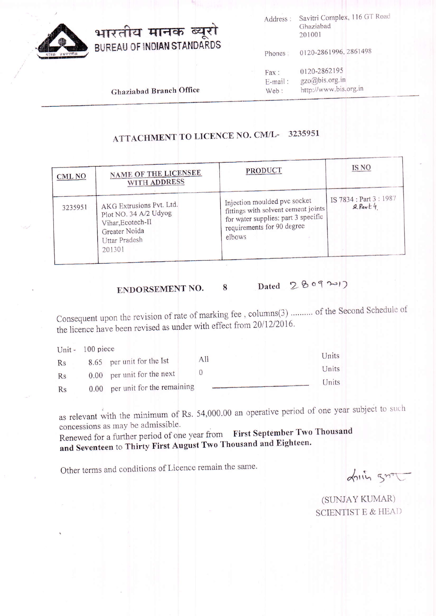

Savitri Complex, 116 GT Road Address: Ghaziabad 201001

0120-2861996, 2861498 Phones:

| Fax:       | 0120-2862195          |
|------------|-----------------------|
| $E$ -mail: | gzo@bis.org.in        |
| Web:       | http://www.bis.org.in |

**Ghaziabad Branch Office** 

## ATTACHMENT TO LICENCE NO. CM/L-3235951

| CML <sub>NO</sub> | NAME OF THE LICENSEE<br>WITH ADDRESS                                                                                      | PRODUCT                                                                                                                                            | <b>IS NO</b>                         |
|-------------------|---------------------------------------------------------------------------------------------------------------------------|----------------------------------------------------------------------------------------------------------------------------------------------------|--------------------------------------|
| 3235951           | AKG Extrusions Pvt. Ltd.<br>Plot NO. 34 A/2 Udyog<br>Vihar, Ecotech-II<br>Greater Noida<br><b>Uttar Pradesh</b><br>201301 | Injection moulded pvc socket<br>fittings with solvent cement joints<br>for water supplies: part 3 specific<br>requirements for 90 degree<br>elbows | IS 7834 : Part 3 : 1987<br>$R$ Part4 |

#### Dated 28092017 8 ENDORSEMENT NO.

Consequent upon the revision of rate of marking fee, columns(3) ......... of the Second Schedule of the licence have been revised as under with effect from 20/12/2016.

|    | Unit - 100 piece |                              |     |       |
|----|------------------|------------------------------|-----|-------|
| Rs |                  | 8.65 per unit for the Ist    | All | Units |
| Rs |                  | $0.00$ per unit for the next |     | Units |
| Rs | 0.00             | per unit for the remaining   |     | Units |

as relevant with the minimum of Rs. 54,000.00 an operative period of one year subject to such concessions as may be admissible.

Renewed for a further period of one year from First September Two Thousand and Seventeen to Thirty First August Two Thousand and Eighteen.

Other terms and conditions of Licence remain the same.

Louis grit

(SUNJAY KUMAR) **SCIENTIST E & HEAD**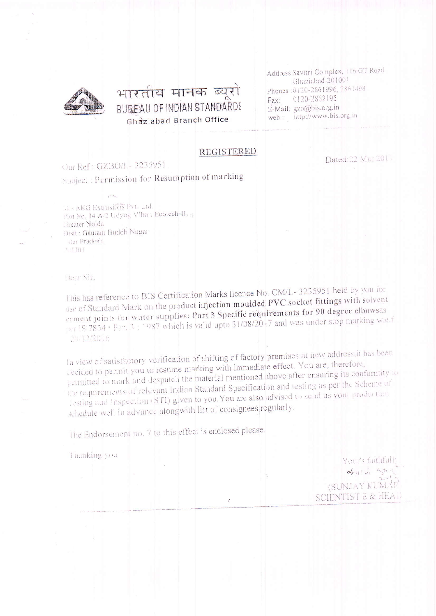

## भारतीय मानक ब्यूरो BUREAU OF INDIAN STANDARDS **Ghaziabad Branch Office**

Address Savitri Complex, 116 GT Road Ghaziabad-201001 Phones: 0120-2861996, 2861498 0120-2862195 Fax: E-Mail: gzo@bis.org.in web: http://www.bis.org.in

Dated: 22 Mar 2017

#### **REGISTERED**

### Our Ref: GZBO/1 - 3235951

Subject : Permission for Resumption of marking

11 - AKG Extrusións Pyt. Ltd. Fiot No. 34 A/2 Udyog Vihar, Ecotech-II, ., Greater Noida Disit : Gautam Buddh Nagar Har Pradesh.  $511301$ 

**Dear Sir.** 

This has reference to BIS Certification Marks licence No. CM/L-3235951 held by you for use of Standard Mark on the product injection moulded PVC socket fittings with solvent cement joints for water supplies: Part 3 Specific requirements for 90 degree elbowsas per IS 7834 · Part 3: 1987 which is valid upto 31/08/20:7 and was under stop marking w.e.f 2012/2016

In view of satisfactory verification of shifting of factory premises at new address, it has been decided to permit you to resume marking with immediate effect. You are, therefore, permitted to mark and despatch the material mentioned above after ensuring its conformity to the requirements of relevant Indian Standard Specification and testing as per the Scheme of Lesting and Inspection (STI) given to you. You are also advised to send us your production schedule well in advance alongwith list of consignees regularly.

The Endorsement no. 7 to this effect is enclosed please.

Thunking you

Your's faithfully  $a_{(1)} + \mu_1 = a_{(2)} + \mu_1$ (SUNJAY KUMAT SCIENTIST E & HEAL